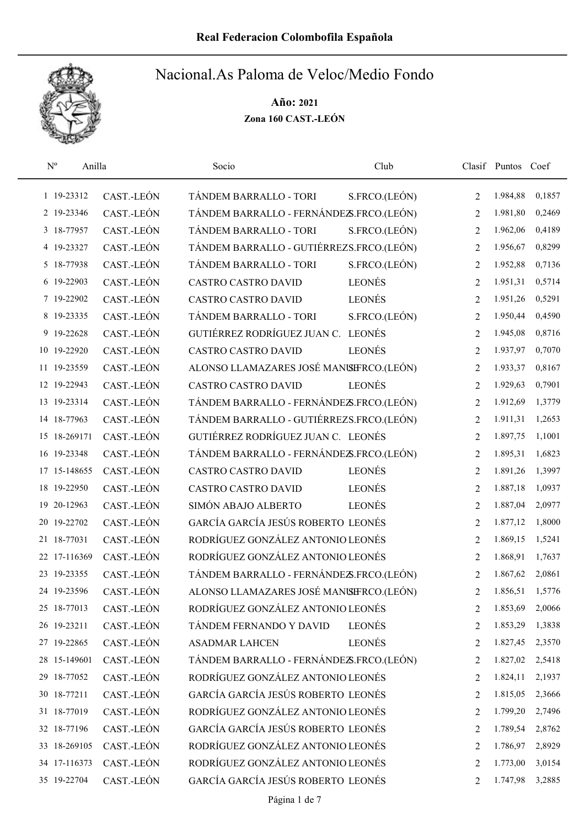

| $\mathbf{N}^{\text{o}}$<br>Anilla |            | Socio                                    | Club          |                | Clasif Puntos Coef |        |
|-----------------------------------|------------|------------------------------------------|---------------|----------------|--------------------|--------|
| 1 19-23312                        | CAST.-LEÓN | TÁNDEM BARRALLO - TORI                   | S.FRCO.(LEÓN) | 2              | 1.984,88           | 0,1857 |
| 2 19-23346                        | CAST.-LEÓN | TÁNDEM BARRALLO - FERNÁNDEZS.FRCO.(LEÓN) |               | $\overline{2}$ | 1.981,80           | 0,2469 |
| 3 18-77957                        | CAST.-LEÓN | TÁNDEM BARRALLO - TORI                   | S.FRCO.(LEÓN) | 2              | 1.962,06           | 0,4189 |
| 4 19-23327                        | CAST.-LEÓN | TÁNDEM BARRALLO - GUTIÉRREZS.FRCO.(LEÓN) |               | 2              | 1.956,67           | 0,8299 |
| 5 18-77938                        | CAST.-LEÓN | TÁNDEM BARRALLO - TORI                   | S.FRCO.(LEÓN) | $\overline{2}$ | 1.952,88           | 0,7136 |
| 6 19-22903                        | CAST.-LEÓN | <b>CASTRO CASTRO DAVID</b>               | <b>LEONÉS</b> | $\overline{2}$ | 1.951,31           | 0,5714 |
| 7 19-22902                        | CAST.-LEÓN | <b>CASTRO CASTRO DAVID</b>               | <b>LEONÉS</b> | $\overline{2}$ | 1.951,26           | 0,5291 |
| 8 19-23335                        | CAST.-LEÓN | TÁNDEM BARRALLO - TORI                   | S.FRCO.(LEÓN) | $\overline{2}$ | 1.950,44           | 0,4590 |
| 9 19-22628                        | CAST.-LEÓN | GUTIÉRREZ RODRÍGUEZ JUAN C. LEONÉS       |               | $\overline{2}$ | 1.945,08           | 0,8716 |
| 10 19-22920                       | CAST.-LEÓN | <b>CASTRO CASTRO DAVID</b>               | <b>LEONÉS</b> | $\overline{2}$ | 1.937,97           | 0,7070 |
| 11 19-23559                       | CAST.-LEÓN | ALONSO LLAMAZARES JOSÉ MANISIFRCO.(LEÓN) |               | $\overline{2}$ | 1.933,37           | 0,8167 |
| 12 19-22943                       | CAST.-LEÓN | <b>CASTRO CASTRO DAVID</b>               | <b>LEONÉS</b> | $\overline{2}$ | 1.929,63           | 0,7901 |
| 13 19-23314                       | CAST.-LEÓN | TÁNDEM BARRALLO - FERNÁNDEZS.FRCO.(LEÓN) |               | $\overline{2}$ | 1.912,69           | 1,3779 |
| 14 18-77963                       | CAST.-LEÓN | TÁNDEM BARRALLO - GUTIÉRREZS.FRCO.(LEÓN) |               | $\overline{2}$ | 1.911,31           | 1,2653 |
| 15 18-269171                      | CAST.-LEÓN | GUTIÉRREZ RODRÍGUEZ JUAN C. LEONÉS       |               | $\overline{2}$ | 1.897,75           | 1,1001 |
| 16 19-23348                       | CAST.-LEÓN | TÁNDEM BARRALLO - FERNÁNDEZS.FRCO.(LEÓN) |               | 2              | 1.895,31           | 1,6823 |
| 17 15-148655                      | CAST.-LEÓN | <b>CASTRO CASTRO DAVID</b>               | <b>LEONÉS</b> | $\overline{2}$ | 1.891,26           | 1,3997 |
| 18 19-22950                       | CAST.-LEÓN | <b>CASTRO CASTRO DAVID</b>               | <b>LEONÉS</b> | $\overline{2}$ | 1.887,18           | 1,0937 |
| 20-12963<br>19                    | CAST.-LEÓN | SIMÓN ABAJO ALBERTO                      | <b>LEONÉS</b> | $\overline{2}$ | 1.887,04           | 2,0977 |
| 19-22702<br>20                    | CAST.-LEÓN | GARCÍA GARCÍA JESÚS ROBERTO LEONÉS       |               | $\overline{2}$ | 1.877,12           | 1,8000 |
| 21 18-77031                       | CAST.-LEÓN | RODRÍGUEZ GONZÁLEZ ANTONIO LEONÉS        |               | 2              | 1.869,15           | 1,5241 |
| 22 17-116369                      | CAST.-LEÓN | RODRÍGUEZ GONZÁLEZ ANTONIO LEONÉS        |               | $\overline{2}$ | 1.868,91           | 1,7637 |
| 19-23355<br>23                    | CAST.-LEÓN | TÁNDEM BARRALLO - FERNÁNDEZS.FRCO.(LEÓN) |               | 2              | 1.867,62           | 2,0861 |
| 24 19-23596                       | CAST.-LEÓN | ALONSO LLAMAZARES JOSÉ MANISERCO.(LEÓN)  |               | 2              | 1.856,51           | 1,5776 |
| 25 18-77013                       | CAST.-LEÓN | RODRÍGUEZ GONZÁLEZ ANTONIO LEONÉS        |               | 2              | 1.853,69           | 2,0066 |
| 26 19-23211                       | CAST.-LEÓN | TÁNDEM FERNANDO Y DAVID                  | <b>LEONÉS</b> | 2              | 1.853,29           | 1,3838 |
| 27 19-22865                       | CAST.-LEÓN | <b>ASADMAR LAHCEN</b>                    | <b>LEONÉS</b> | 2              | 1.827,45           | 2,3570 |
| 28 15-149601                      | CAST.-LEÓN | TÁNDEM BARRALLO - FERNÁNDEZS.FRCO.(LEÓN) |               | 2              | 1.827,02           | 2,5418 |
| 29 18-77052                       | CAST.-LEÓN | RODRÍGUEZ GONZÁLEZ ANTONIO LEONÉS        |               | 2              | 1.824,11           | 2,1937 |
| 30 18-77211                       | CAST.-LEÓN | GARCÍA GARCÍA JESÚS ROBERTO LEONÉS       |               | $\overline{2}$ | 1.815,05           | 2,3666 |
| 31 18-77019                       | CAST.-LEÓN | RODRÍGUEZ GONZÁLEZ ANTONIO LEONÉS        |               | $\overline{2}$ | 1.799,20           | 2,7496 |
| 32 18-77196                       | CAST.-LEÓN | GARCÍA GARCÍA JESÚS ROBERTO LEONÉS       |               | 2              | 1.789,54           | 2,8762 |
| 33 18-269105                      | CAST.-LEÓN | RODRÍGUEZ GONZÁLEZ ANTONIO LEONÉS        |               | 2              | 1.786,97           | 2,8929 |
| 34 17-116373                      | CAST.-LEÓN | RODRÍGUEZ GONZÁLEZ ANTONIO LEONÉS        |               | 2              | 1.773,00           | 3,0154 |
| 35 19-22704                       | CAST.-LEÓN | GARCÍA GARCÍA JESÚS ROBERTO LEONÉS       |               | 2              | 1.747,98           | 3,2885 |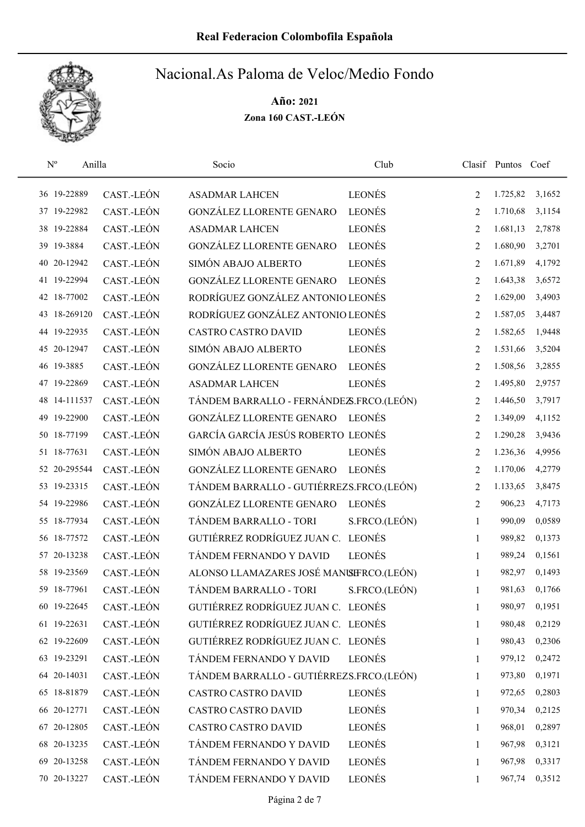

| $\mathrm{N}^{\rm o}$<br>Anilla |            | Socio                                    | Club          |                | Clasif Puntos Coef |        |
|--------------------------------|------------|------------------------------------------|---------------|----------------|--------------------|--------|
| 36 19-22889                    | CAST.-LEÓN | <b>ASADMAR LAHCEN</b>                    | LEONÉS        | $\overline{2}$ | 1.725,82           | 3,1652 |
| 37 19-22982                    | CAST.-LEÓN | GONZÁLEZ LLORENTE GENARO                 | <b>LEONÉS</b> | $\overline{2}$ | 1.710,68           | 3,1154 |
| 38 19-22884                    | CAST.-LEÓN | <b>ASADMAR LAHCEN</b>                    | LEONÉS        | $\overline{2}$ | 1.681,13           | 2,7878 |
| 39 19-3884                     | CAST.-LEÓN | <b>GONZÁLEZ LLORENTE GENARO</b>          | <b>LEONÉS</b> | 2              | 1.680,90           | 3,2701 |
| 20-12942<br>40                 | CAST.-LEÓN | SIMÓN ABAJO ALBERTO                      | <b>LEONÉS</b> | $\overline{2}$ | 1.671,89           | 4,1792 |
| 41 19-22994                    | CAST.-LEÓN | GONZÁLEZ LLORENTE GENARO                 | <b>LEONÉS</b> | 2              | 1.643,38           | 3,6572 |
| 42 18-77002                    | CAST.-LEÓN | RODRÍGUEZ GONZÁLEZ ANTONIO LEONÉS        |               | $\overline{2}$ | 1.629,00           | 3,4903 |
| 43 18-269120                   | CAST.-LEÓN | RODRÍGUEZ GONZÁLEZ ANTONIO LEONÉS        |               | $\overline{2}$ | 1.587,05           | 3,4487 |
| 44 19-22935                    | CAST.-LEÓN | <b>CASTRO CASTRO DAVID</b>               | <b>LEONÉS</b> | $\overline{2}$ | 1.582,65           | 1,9448 |
| 45 20-12947                    | CAST.-LEÓN | SIMÓN ABAJO ALBERTO                      | <b>LEONÉS</b> | $\overline{2}$ | 1.531,66           | 3,5204 |
| 46 19-3885                     | CAST.-LEÓN | GONZÁLEZ LLORENTE GENARO                 | <b>LEONÉS</b> | $\overline{2}$ | 1.508,56           | 3,2855 |
| 47 19-22869                    | CAST.-LEÓN | <b>ASADMAR LAHCEN</b>                    | <b>LEONÉS</b> | $\overline{2}$ | 1.495,80           | 2,9757 |
| 48 14-111537                   | CAST.-LEÓN | TÁNDEM BARRALLO - FERNÁNDEZS.FRCO.(LEÓN) |               | 2              | 1.446,50           | 3,7917 |
| 49 19-22900                    | CAST.-LEÓN | GONZÁLEZ LLORENTE GENARO                 | <b>LEONÉS</b> | $\overline{2}$ | 1.349,09           | 4,1152 |
| 50 18-77199                    | CAST.-LEÓN | GARCÍA GARCÍA JESÚS ROBERTO LEONÉS       |               | $\overline{2}$ | 1.290,28           | 3,9436 |
| 51 18-77631                    | CAST.-LEÓN | SIMÓN ABAJO ALBERTO                      | <b>LEONÉS</b> | $\overline{2}$ | 1.236,36           | 4,9956 |
| 52 20-295544                   | CAST.-LEÓN | GONZÁLEZ LLORENTE GENARO                 | <b>LEONÉS</b> | $\overline{2}$ | 1.170,06           | 4,2779 |
| 53 19-23315                    | CAST.-LEÓN | TÁNDEM BARRALLO - GUTIÉRREZS.FRCO.(LEÓN) |               | $\overline{2}$ | 1.133,65           | 3,8475 |
| 54 19-22986                    | CAST.-LEÓN | GONZÁLEZ LLORENTE GENARO                 | <b>LEONÉS</b> | $\overline{2}$ | 906,23             | 4,7173 |
| 55 18-77934                    | CAST.-LEÓN | TÁNDEM BARRALLO - TORI                   | S.FRCO.(LEÓN) | $\mathbf{1}$   | 990,09             | 0,0589 |
| 56 18-77572                    | CAST.-LEÓN | GUTIÉRREZ RODRÍGUEZ JUAN C. LEONÉS       |               | $\mathbf{1}$   | 989,82             | 0,1373 |
| 57 20-13238                    | CAST.-LEÓN | TÁNDEM FERNANDO Y DAVID                  | <b>LEONÉS</b> | $\mathbf{1}$   | 989,24             | 0,1561 |
| 58 19-23569                    | CAST.-LEÓN | ALONSO LLAMAZARES JOSÉ MANISERCO.(LEÓN)  |               | 1              | 982,97             | 0,1493 |
| 59 18-77961                    | CAST.-LEÓN | TÁNDEM BARRALLO - TORI                   | S.FRCO.(LEÓN) | 1              | 981,63             | 0,1766 |
| 60 19-22645                    | CAST.-LEÓN | GUTIÉRREZ RODRÍGUEZ JUAN C. LEONÉS       |               | 1              | 980,97             | 0,1951 |
| 61 19-22631                    | CAST.-LEÓN | GUTIÉRREZ RODRÍGUEZ JUAN C. LEONÉS       |               | 1              | 980,48             | 0,2129 |
| 62 19-22609                    | CAST.-LEÓN | GUTIÉRREZ RODRÍGUEZ JUAN C. LEONÉS       |               | 1              | 980,43             | 0,2306 |
| 63 19-23291                    | CAST.-LEÓN | TÁNDEM FERNANDO Y DAVID                  | <b>LEONÉS</b> | $\mathbf{1}$   | 979,12             | 0,2472 |
| 64 20-14031                    | CAST.-LEÓN | TÁNDEM BARRALLO - GUTIÉRREZS.FRCO.(LEÓN) |               | $\mathbf{1}$   | 973,80             | 0,1971 |
| 65 18-81879                    | CAST.-LEÓN | <b>CASTRO CASTRO DAVID</b>               | <b>LEONÉS</b> | $\mathbf{1}$   | 972,65             | 0,2803 |
| 66 20-12771                    | CAST.-LEÓN | <b>CASTRO CASTRO DAVID</b>               | <b>LEONÉS</b> | $\mathbf{1}$   | 970,34             | 0,2125 |
| 67 20-12805                    | CAST.-LEÓN | <b>CASTRO CASTRO DAVID</b>               | LEONÉS        | $\mathbf{1}$   | 968,01             | 0,2897 |
| 68 20-13235                    | CAST.-LEÓN | TÁNDEM FERNANDO Y DAVID                  | <b>LEONÉS</b> | $\mathbf{1}$   | 967,98             | 0,3121 |
| 69 20-13258                    | CAST.-LEÓN | TÁNDEM FERNANDO Y DAVID                  | <b>LEONÉS</b> | $\mathbf{1}$   | 967,98             | 0,3317 |
| 70 20-13227                    | CAST.-LEÓN | TÁNDEM FERNANDO Y DAVID                  | LEONÉS        | 1              | 967,74             | 0,3512 |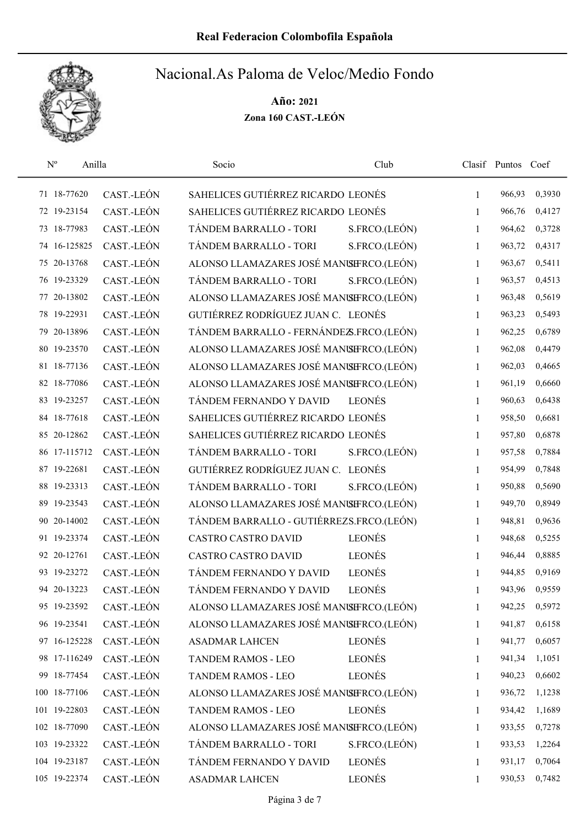

| $\mathbf{N}^{\mathrm{o}}$<br>Anilla |            | Socio                                    | Club          |              | Clasif Puntos Coef |        |
|-------------------------------------|------------|------------------------------------------|---------------|--------------|--------------------|--------|
| 71 18-77620                         | CAST.-LEÓN | SAHELICES GUTIÉRREZ RICARDO LEONÉS       |               | $\mathbf{1}$ | 966,93             | 0,3930 |
| 72 19-23154                         | CAST.-LEÓN | SAHELICES GUTIÉRREZ RICARDO LEONÉS       |               | 1            | 966,76             | 0,4127 |
| 73 18-77983                         | CAST.-LEÓN | TÁNDEM BARRALLO - TORI                   | S.FRCO.(LEÓN) | $\mathbf{1}$ | 964,62             | 0,3728 |
| 74 16-125825                        | CAST.-LEÓN | TÁNDEM BARRALLO - TORI                   | S.FRCO.(LEÓN) | $\mathbf{1}$ | 963,72             | 0,4317 |
| 75 20-13768                         | CAST.-LEÓN | ALONSO LLAMAZARES JOSÉ MANISERCO.(LEÓN)  |               | $\mathbf{1}$ | 963,67             | 0,5411 |
| 76 19-23329                         | CAST.-LEÓN | TÁNDEM BARRALLO - TORI                   | S.FRCO.(LEÓN) | $\mathbf{1}$ | 963,57             | 0,4513 |
| 77 20-13802                         | CAST.-LEÓN | ALONSO LLAMAZARES JOSÉ MANISERCO.(LEÓN)  |               | $\mathbf{1}$ | 963,48             | 0,5619 |
| 78 19-22931                         | CAST.-LEÓN | GUTIÉRREZ RODRÍGUEZ JUAN C. LEONÉS       |               | $\mathbf{1}$ | 963,23             | 0,5493 |
| 79 20-13896                         | CAST.-LEÓN | TÁNDEM BARRALLO - FERNÁNDEZS.FRCO.(LEÓN) |               | 1            | 962,25             | 0,6789 |
| 80 19-23570                         | CAST.-LEÓN | ALONSO LLAMAZARES JOSÉ MANISERCO.(LEÓN)  |               | $\mathbf{1}$ | 962,08             | 0,4479 |
| 81 18-77136                         | CAST.-LEÓN | ALONSO LLAMAZARES JOSÉ MANISIFRCO.(LEÓN) |               | 1            | 962,03             | 0,4665 |
| 82 18-77086                         | CAST.-LEÓN | ALONSO LLAMAZARES JOSÉ MANISIFRCO.(LEÓN) |               | $\mathbf{1}$ | 961,19             | 0,6660 |
| 83 19-23257                         | CAST.-LEÓN | TÁNDEM FERNANDO Y DAVID                  | <b>LEONÉS</b> | $\mathbf{1}$ | 960,63             | 0,6438 |
| 84 18-77618                         | CAST.-LEÓN | SAHELICES GUTIÉRREZ RICARDO LEONÉS       |               | $\mathbf{1}$ | 958,50             | 0,6681 |
| 85 20-12862                         | CAST.-LEÓN | SAHELICES GUTIÉRREZ RICARDO LEONÉS       |               | $\mathbf{1}$ | 957,80             | 0,6878 |
| 86 17-115712                        | CAST.-LEÓN | TÁNDEM BARRALLO - TORI                   | S.FRCO.(LEÓN) | $\mathbf{1}$ | 957,58             | 0,7884 |
| 87 19-22681                         | CAST.-LEÓN | GUTIÉRREZ RODRÍGUEZ JUAN C. LEONÉS       |               | $\mathbf{1}$ | 954,99             | 0,7848 |
| 88 19-23313                         | CAST.-LEÓN | TÁNDEM BARRALLO - TORI                   | S.FRCO.(LEÓN) | $\mathbf{1}$ | 950,88             | 0,5690 |
| 89 19-23543                         | CAST.-LEÓN | ALONSO LLAMAZARES JOSÉ MANISERCO.(LEÓN)  |               | $\mathbf{1}$ | 949,70             | 0,8949 |
| 90 20-14002                         | CAST.-LEÓN | TÁNDEM BARRALLO - GUTIÉRREZS.FRCO.(LEÓN) |               | $\mathbf{1}$ | 948,81             | 0,9636 |
| 91 19-23374                         | CAST.-LEÓN | <b>CASTRO CASTRO DAVID</b>               | <b>LEONÉS</b> | $\mathbf{1}$ | 948,68             | 0,5255 |
| 92 20-12761                         | CAST.-LEÓN | <b>CASTRO CASTRO DAVID</b>               | <b>LEONÉS</b> | 1            | 946,44             | 0,8885 |
| 93 19-23272                         | CAST.-LEÓN | TÁNDEM FERNANDO Y DAVID                  | LEONÉS        | 1            | 944,85             | 0,9169 |
| 94 20-13223                         | CAST.-LEÓN | TÁNDEM FERNANDO Y DAVID                  | <b>LEONÉS</b> | 1            | 943,96             | 0,9559 |
| 95 19-23592                         | CAST.-LEÓN | ALONSO LLAMAZARES JOSÉ MANUSFRCO.(LEÓN)  |               | 1            | 942,25             | 0,5972 |
| 96 19-23541                         | CAST.-LEÓN | ALONSO LLAMAZARES JOSÉ MANISIFRCO.(LEÓN) |               | 1            | 941,87             | 0,6158 |
| 97 16-125228                        | CAST.-LEÓN | <b>ASADMAR LAHCEN</b>                    | <b>LEONÉS</b> | 1            | 941,77             | 0,6057 |
| 98 17-116249                        | CAST.-LEÓN | TANDEM RAMOS - LEO                       | LEONÉS        | 1            | 941,34             | 1,1051 |
| 99 18-77454                         | CAST.-LEÓN | <b>TANDEM RAMOS - LEO</b>                | <b>LEONÉS</b> | 1            | 940,23             | 0,6602 |
| 100 18-77106                        | CAST.-LEÓN | ALONSO LLAMAZARES JOSÉ MANISERCO.(LEÓN)  |               | $\mathbf{1}$ | 936,72             | 1,1238 |
| 101 19-22803                        | CAST.-LEÓN | TANDEM RAMOS - LEO                       | <b>LEONÉS</b> | 1            | 934,42             | 1,1689 |
| 102 18-77090                        | CAST.-LEÓN | ALONSO LLAMAZARES JOSÉ MANISIFRCO.(LEÓN) |               | $\mathbf{1}$ | 933,55             | 0,7278 |
| 103 19-23322                        | CAST.-LEÓN | TÁNDEM BARRALLO - TORI                   | S.FRCO.(LEÓN) | 1            | 933,53             | 1,2264 |
| 104 19-23187                        | CAST.-LEÓN | TÁNDEM FERNANDO Y DAVID                  | <b>LEONÉS</b> | 1            | 931,17             | 0,7064 |
| 105 19-22374                        | CAST.-LEÓN | <b>ASADMAR LAHCEN</b>                    | LEONÉS        | 1            | 930,53             | 0,7482 |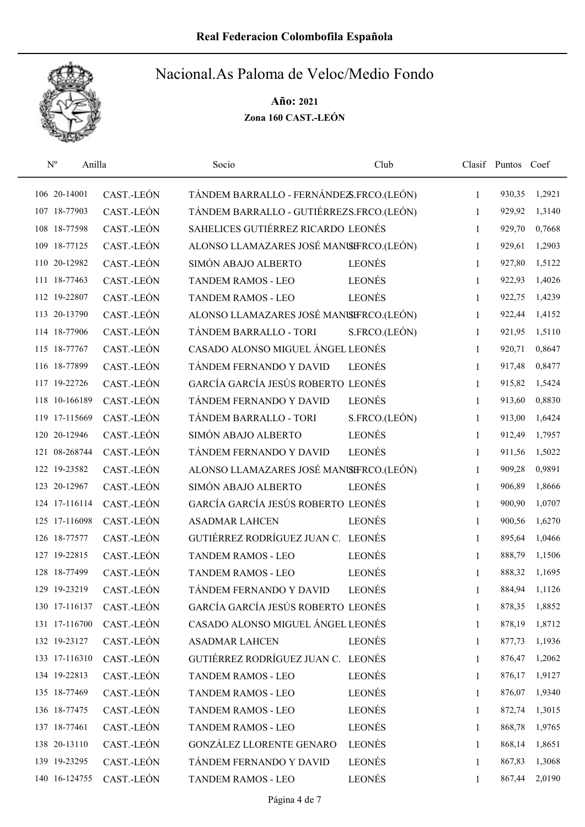

| $N^{o}$<br>Anilla |            | Socio                                    | Club          |              | Clasif Puntos Coef |        |
|-------------------|------------|------------------------------------------|---------------|--------------|--------------------|--------|
| 106 20-14001      | CAST.-LEÓN | TÁNDEM BARRALLO - FERNÁNDEZS.FRCO.(LEÓN) |               | $\mathbf{1}$ | 930,35             | 1,2921 |
| 107 18-77903      | CAST.-LEÓN | TÁNDEM BARRALLO - GUTIÉRREZS.FRCO.(LEÓN) |               | 1            | 929,92             | 1,3140 |
| 108 18-77598      | CAST.-LEÓN | SAHELICES GUTIÉRREZ RICARDO LEONÉS       |               | 1            | 929,70             | 0,7668 |
| 109 18-77125      | CAST.-LEÓN | ALONSO LLAMAZARES JOSÉ MANISIFRCO.(LEÓN) |               | $\mathbf{1}$ | 929,61             | 1,2903 |
| 110 20-12982      | CAST.-LEÓN | SIMÓN ABAJO ALBERTO                      | <b>LEONÉS</b> | $\mathbf{1}$ | 927,80             | 1,5122 |
| 111 18-77463      | CAST.-LEÓN | <b>TANDEM RAMOS - LEO</b>                | <b>LEONÉS</b> | $\mathbf{1}$ | 922,93             | 1,4026 |
| 112 19-22807      | CAST.-LEÓN | <b>TANDEM RAMOS - LEO</b>                | <b>LEONÉS</b> | $\mathbf{1}$ | 922,75             | 1,4239 |
| 113 20-13790      | CAST.-LEÓN | ALONSO LLAMAZARES JOSÉ MANISIFRCO.(LEÓN) |               | $\mathbf{1}$ | 922,44             | 1,4152 |
| 114 18-77906      | CAST.-LEÓN | TÁNDEM BARRALLO - TORI                   | S.FRCO.(LEÓN) | 1            | 921,95             | 1,5110 |
| 115 18-77767      | CAST.-LEÓN | CASADO ALONSO MIGUEL ÁNGEL LEONÉS        |               | $\mathbf{1}$ | 920,71             | 0,8647 |
| 116 18-77899      | CAST.-LEÓN | TÁNDEM FERNANDO Y DAVID                  | <b>LEONÉS</b> | 1            | 917,48             | 0,8477 |
| 117 19-22726      | CAST.-LEÓN | GARCÍA GARCÍA JESÚS ROBERTO LEONÉS       |               | $\mathbf{1}$ | 915,82             | 1,5424 |
| 118 10-166189     | CAST.-LEÓN | TÁNDEM FERNANDO Y DAVID                  | <b>LEONÉS</b> | 1            | 913,60             | 0,8830 |
| 119 17-115669     | CAST.-LEÓN | TÁNDEM BARRALLO - TORI                   | S.FRCO.(LEÓN) | 1            | 913,00             | 1,6424 |
| 120 20-12946      | CAST.-LEÓN | SIMÓN ABAJO ALBERTO                      | <b>LEONÉS</b> | $\mathbf{1}$ | 912,49             | 1,7957 |
| 121 08-268744     | CAST.-LEÓN | TÁNDEM FERNANDO Y DAVID                  | <b>LEONÉS</b> | $\mathbf{1}$ | 911,56             | 1,5022 |
| 122 19-23582      | CAST.-LEÓN | ALONSO LLAMAZARES JOSÉ MANISIFRCO.(LEÓN) |               | $\mathbf{1}$ | 909,28             | 0,9891 |
| 123 20-12967      | CAST.-LEÓN | SIMÓN ABAJO ALBERTO                      | <b>LEONÉS</b> | $\mathbf{1}$ | 906,89             | 1,8666 |
| 124 17-116114     | CAST.-LEÓN | GARCÍA GARCÍA JESÚS ROBERTO LEONÉS       |               | $\mathbf{1}$ | 900,90             | 1,0707 |
| 125 17-116098     | CAST.-LEÓN | <b>ASADMAR LAHCEN</b>                    | <b>LEONÉS</b> | $\mathbf{1}$ | 900,56             | 1,6270 |
| 126 18-77577      | CAST.-LEÓN | GUTIÉRREZ RODRÍGUEZ JUAN C. LEONÉS       |               | 1            | 895,64             | 1,0466 |
| 127 19-22815      | CAST.-LEÓN | <b>TANDEM RAMOS - LEO</b>                | LEONÉS        | 1            | 888,79             | 1,1506 |
| 128 18-77499      | CAST.-LEÓN | <b>TANDEM RAMOS - LEO</b>                | <b>LEONÉS</b> | $\mathbf{1}$ | 888,32             | 1,1695 |
| 129 19-23219      | CAST.-LEÓN | TÁNDEM FERNANDO Y DAVID                  | LEONÉS        | 1            | 884,94             | 1,1126 |
| 130 17-116137     | CAST.-LEÓN | GARCÍA GARCÍA JESÚS ROBERTO LEONÉS       |               | 1            | 878,35             | 1,8852 |
| 131 17-116700     | CAST.-LEÓN | CASADO ALONSO MIGUEL ÁNGEL LEONÉS        |               | 1            | 878,19             | 1,8712 |
| 132 19-23127      | CAST.-LEÓN | <b>ASADMAR LAHCEN</b>                    | <b>LEONÉS</b> | $\mathbf{1}$ | 877,73             | 1,1936 |
| 133 17-116310     | CAST.-LEÓN | GUTIÉRREZ RODRÍGUEZ JUAN C. LEONÉS       |               | $\mathbf{1}$ | 876,47             | 1,2062 |
| 134 19-22813      | CAST.-LEÓN | <b>TANDEM RAMOS - LEO</b>                | <b>LEONÉS</b> | $\mathbf{1}$ | 876,17             | 1,9127 |
| 135 18-77469      | CAST.-LEÓN | TANDEM RAMOS - LEO                       | LEONÉS        | $\mathbf{1}$ | 876,07             | 1,9340 |
| 136 18-77475      | CAST.-LEÓN | <b>TANDEM RAMOS - LEO</b>                | <b>LEONÉS</b> | $\mathbf{1}$ | 872,74             | 1,3015 |
| 137 18-77461      | CAST.-LEÓN | <b>TANDEM RAMOS - LEO</b>                | LEONÉS        | 1            | 868,78             | 1,9765 |
| 138 20-13110      | CAST.-LEÓN | GONZÁLEZ LLORENTE GENARO                 | LEONÉS        | $\mathbf{1}$ | 868,14             | 1,8651 |
| 139 19-23295      | CAST.-LEÓN | TÁNDEM FERNANDO Y DAVID                  | <b>LEONÉS</b> | 1            | 867,83             | 1,3068 |
| 140 16-124755     | CAST.-LEÓN | TANDEM RAMOS - LEO                       | LEONÉS        | $\mathbf{1}$ | 867,44             | 2,0190 |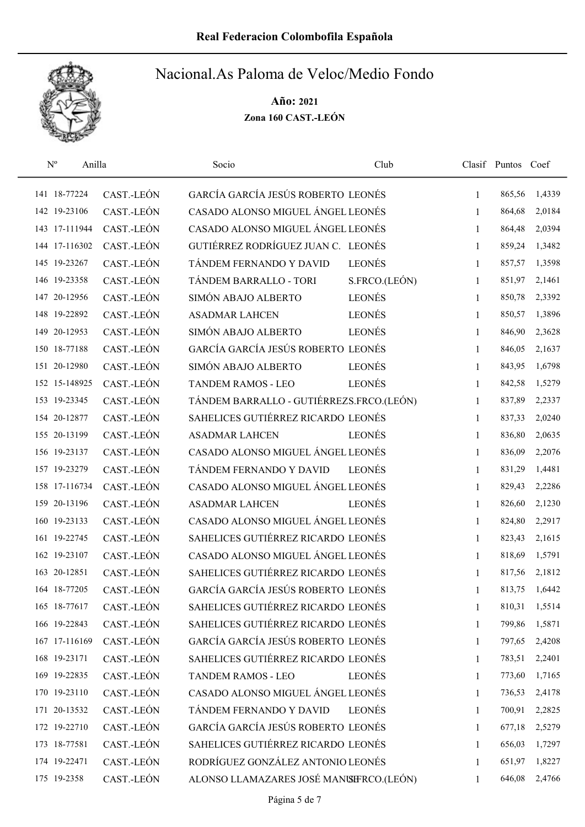

| $N^{o}$<br>Anilla |            | Socio                                    | Club          |              | Clasif Puntos Coef |        |
|-------------------|------------|------------------------------------------|---------------|--------------|--------------------|--------|
| 141 18-77224      | CAST.-LEÓN | GARCÍA GARCÍA JESÚS ROBERTO LEONÉS       |               | $\mathbf{1}$ | 865,56             | 1,4339 |
| 142 19-23106      | CAST.-LEÓN | CASADO ALONSO MIGUEL ÁNGEL LEONÉS        |               | 1            | 864,68             | 2,0184 |
| 143 17-111944     | CAST.-LEÓN | CASADO ALONSO MIGUEL ÁNGEL LEONÉS        |               | 1            | 864,48             | 2,0394 |
| 144 17-116302     | CAST.-LEÓN | GUTIÉRREZ RODRÍGUEZ JUAN C. LEONÉS       |               | 1            | 859,24             | 1,3482 |
| 145 19-23267      | CAST.-LEÓN | TÁNDEM FERNANDO Y DAVID                  | <b>LEONÉS</b> | $\mathbf{1}$ | 857,57             | 1,3598 |
| 146 19-23358      | CAST.-LEÓN | TÁNDEM BARRALLO - TORI                   | S.FRCO.(LEÓN) | 1            | 851,97             | 2,1461 |
| 147 20-12956      | CAST.-LEÓN | SIMÓN ABAJO ALBERTO                      | <b>LEONÉS</b> | $\mathbf{1}$ | 850,78             | 2,3392 |
| 148 19-22892      | CAST.-LEÓN | <b>ASADMAR LAHCEN</b>                    | <b>LEONÉS</b> | $\mathbf{1}$ | 850,57             | 1,3896 |
| 149 20-12953      | CAST.-LEÓN | SIMÓN ABAJO ALBERTO                      | <b>LEONÉS</b> | 1            | 846,90             | 2,3628 |
| 150 18-77188      | CAST.-LEÓN | GARCÍA GARCÍA JESÚS ROBERTO LEONÉS       |               | $\mathbf{1}$ | 846,05             | 2,1637 |
| 151 20-12980      | CAST.-LEÓN | SIMÓN ABAJO ALBERTO                      | <b>LEONÉS</b> | 1            | 843,95             | 1,6798 |
| 152 15-148925     | CAST.-LEÓN | <b>TANDEM RAMOS - LEO</b>                | <b>LEONÉS</b> | $\mathbf{1}$ | 842,58             | 1,5279 |
| 153 19-23345      | CAST.-LEÓN | TÁNDEM BARRALLO - GUTIÉRREZS.FRCO.(LEÓN) |               | 1            | 837,89             | 2,2337 |
| 154 20-12877      | CAST.-LEÓN | SAHELICES GUTIÉRREZ RICARDO LEONÉS       |               | $\mathbf{1}$ | 837,33             | 2,0240 |
| 155 20-13199      | CAST.-LEÓN | <b>ASADMAR LAHCEN</b>                    | <b>LEONÉS</b> | $\mathbf{1}$ | 836,80             | 2,0635 |
| 156 19-23137      | CAST.-LEÓN | CASADO ALONSO MIGUEL ÁNGEL LEONÉS        |               | 1            | 836,09             | 2,2076 |
| 157 19-23279      | CAST.-LEÓN | TÁNDEM FERNANDO Y DAVID                  | <b>LEONÉS</b> | 1            | 831,29             | 1,4481 |
| 158 17-116734     | CAST.-LEÓN | CASADO ALONSO MIGUEL ÁNGEL LEONÉS        |               | 1            | 829,43             | 2,2286 |
| 159 20-13196      | CAST.-LEÓN | <b>ASADMAR LAHCEN</b>                    | <b>LEONÉS</b> | $\mathbf{1}$ | 826,60             | 2,1230 |
| 160 19-23133      | CAST.-LEÓN | CASADO ALONSO MIGUEL ÁNGEL LEONÉS        |               | 1            | 824,80             | 2,2917 |
| 161 19-22745      | CAST.-LEÓN | SAHELICES GUTIÉRREZ RICARDO LEONÉS       |               | 1            | 823,43             | 2,1615 |
| 162 19-23107      | CAST.-LEÓN | CASADO ALONSO MIGUEL ÁNGEL LEONÉS        |               | 1            | 818,69             | 1,5791 |
| 163 20-12851      | CAST.-LEÓN | SAHELICES GUTIÉRREZ RICARDO LEONÉS       |               | 1            | 817,56             | 2,1812 |
| 164 18-77205      | CAST.-LEÓN | GARCÍA GARCÍA JESÚS ROBERTO LEONÉS       |               | $\mathbf{1}$ | 813,75             | 1,6442 |
| 165 18-77617      | CAST.-LEÓN | SAHELICES GUTIÉRREZ RICARDO LEONÉS       |               | $\mathbf{1}$ | 810,31             | 1,5514 |
| 166 19-22843      | CAST.-LEÓN | SAHELICES GUTIÉRREZ RICARDO LEONÉS       |               | 1            | 799,86             | 1,5871 |
| 167 17-116169     | CAST.-LEÓN | GARCÍA GARCÍA JESÚS ROBERTO LEONÉS       |               | $\mathbf{1}$ | 797,65             | 2,4208 |
| 168 19-23171      | CAST.-LEÓN | SAHELICES GUTIÉRREZ RICARDO LEONÉS       |               | $\mathbf{1}$ | 783,51             | 2,2401 |
| 169 19-22835      | CAST.-LEÓN | TANDEM RAMOS - LEO                       | <b>LEONÉS</b> | $\mathbf{1}$ | 773,60             | 1,7165 |
| 170 19-23110      | CAST.-LEÓN | CASADO ALONSO MIGUEL ÁNGEL LEONÉS        |               | 1            | 736,53             | 2,4178 |
| 171 20-13532      | CAST.-LEÓN | TÁNDEM FERNANDO Y DAVID                  | <b>LEONÉS</b> | $\mathbf{1}$ | 700,91             | 2,2825 |
| 172 19-22710      | CAST.-LEÓN | GARCÍA GARCÍA JESÚS ROBERTO LEONÉS       |               | 1            | 677,18             | 2,5279 |
| 173 18-77581      | CAST.-LEÓN | SAHELICES GUTIÉRREZ RICARDO LEONÉS       |               | 1            | 656,03             | 1,7297 |
| 174 19-22471      | CAST.-LEÓN | RODRÍGUEZ GONZÁLEZ ANTONIO LEONÉS        |               | 1            | 651,97             | 1,8227 |
| 175 19-2358       | CAST.-LEÓN | ALONSO LLAMAZARES JOSÉ MANISERCO.(LEÓN)  |               | 1            | 646,08             | 2,4766 |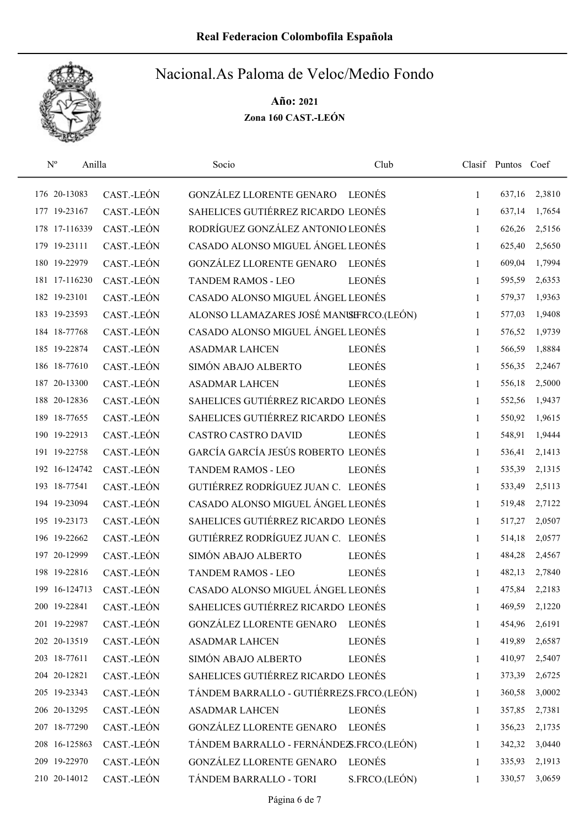

| $N^{o}$<br>Anilla |            | Socio                                    | Club          |              | Clasif Puntos Coef |        |
|-------------------|------------|------------------------------------------|---------------|--------------|--------------------|--------|
| 176 20-13083      | CAST.-LEÓN | GONZÁLEZ LLORENTE GENARO                 | LEONÉS        | $\mathbf{1}$ | 637,16             | 2,3810 |
| 177 19-23167      | CAST.-LEÓN | SAHELICES GUTIÉRREZ RICARDO LEONÉS       |               | 1            | 637,14             | 1,7654 |
| 178 17-116339     | CAST.-LEÓN | RODRÍGUEZ GONZÁLEZ ANTONIO LEONÉS        |               | 1            | 626,26             | 2,5156 |
| 179 19-23111      | CAST.-LEÓN | CASADO ALONSO MIGUEL ÁNGEL LEONÉS        |               | 1            | 625,40             | 2,5650 |
| 180 19-22979      | CAST.-LEÓN | GONZÁLEZ LLORENTE GENARO                 | LEONÉS        | 1            | 609,04             | 1,7994 |
| 181 17-116230     | CAST.-LEÓN | TANDEM RAMOS - LEO                       | <b>LEONÉS</b> | 1            | 595,59             | 2,6353 |
| 182 19-23101      | CAST.-LEÓN | CASADO ALONSO MIGUEL ÁNGEL LEONÉS        |               | 1            | 579,37             | 1,9363 |
| 183 19-23593      | CAST.-LEÓN | ALONSO LLAMAZARES JOSÉ MANISERCO.(LEÓN)  |               | 1            | 577,03             | 1,9408 |
| 184 18-77768      | CAST.-LEÓN | CASADO ALONSO MIGUEL ÁNGEL LEONÉS        |               | 1            | 576,52             | 1,9739 |
| 185 19-22874      | CAST.-LEÓN | <b>ASADMAR LAHCEN</b>                    | <b>LEONÉS</b> | $\mathbf{1}$ | 566,59             | 1,8884 |
| 186 18-77610      | CAST.-LEÓN | SIMÓN ABAJO ALBERTO                      | <b>LEONÉS</b> | 1            | 556,35             | 2,2467 |
| 187 20-13300      | CAST.-LEÓN | <b>ASADMAR LAHCEN</b>                    | <b>LEONÉS</b> | $\mathbf{1}$ | 556,18             | 2,5000 |
| 188 20-12836      | CAST.-LEÓN | SAHELICES GUTIÉRREZ RICARDO LEONÉS       |               | 1            | 552,56             | 1,9437 |
| 189 18-77655      | CAST.-LEÓN | SAHELICES GUTIÉRREZ RICARDO LEONÉS       |               | 1            | 550,92             | 1,9615 |
| 190 19-22913      | CAST.-LEÓN | <b>CASTRO CASTRO DAVID</b>               | <b>LEONÉS</b> | 1            | 548,91             | 1,9444 |
| 191 19-22758      | CAST.-LEÓN | GARCÍA GARCÍA JESÚS ROBERTO LEONÉS       |               | $\mathbf{1}$ | 536,41             | 2,1413 |
| 192 16-124742     | CAST.-LEÓN | <b>TANDEM RAMOS - LEO</b>                | <b>LEONÉS</b> | 1            | 535,39             | 2,1315 |
| 193 18-77541      | CAST.-LEÓN | GUTIÉRREZ RODRÍGUEZ JUAN C. LEONÉS       |               | $\mathbf{1}$ | 533,49             | 2,5113 |
| 194 19-23094      | CAST.-LEÓN | CASADO ALONSO MIGUEL ÁNGEL LEONÉS        |               | 1            | 519,48             | 2,7122 |
| 195 19-23173      | CAST.-LEÓN | SAHELICES GUTIÉRREZ RICARDO LEONÉS       |               | $\mathbf{1}$ | 517,27             | 2,0507 |
| 196 19-22662      | CAST.-LEÓN | GUTIÉRREZ RODRÍGUEZ JUAN C. LEONÉS       |               | 1            | 514,18             | 2,0577 |
| 197 20-12999      | CAST.-LEÓN | SIMÓN ABAJO ALBERTO                      | <b>LEONÉS</b> | 1            | 484,28             | 2,4567 |
| 198 19-22816      | CAST.-LEÓN | TANDEM RAMOS - LEO                       | <b>LEONÉS</b> | 1            | 482,13             | 2,7840 |
| 199 16-124713     | CAST.-LEÓN | CASADO ALONSO MIGUEL ÁNGEL LEONÉS        |               | 1            | 475,84             | 2,2183 |
| 200 19-22841      | CAST.-LEÓN | SAHELICES GUTIÉRREZ RICARDO LEONÉS       |               | 1            | 469,59             | 2,1220 |
| 201 19-22987      | CAST.-LEÓN | GONZÁLEZ LLORENTE GENARO                 | LEONÉS        | 1            | 454,96             | 2,6191 |
| 202 20-13519      | CAST.-LEÓN | <b>ASADMAR LAHCEN</b>                    | <b>LEONÉS</b> | 1            | 419,89             | 2,6587 |
| 203 18-77611      | CAST.-LEÓN | SIMÓN ABAJO ALBERTO                      | LEONÉS        | $\mathbf{1}$ | 410,97             | 2,5407 |
| 204 20-12821      | CAST.-LEÓN | SAHELICES GUTIÉRREZ RICARDO LEONÉS       |               | 1            | 373,39             | 2,6725 |
| 205 19-23343      | CAST.-LEÓN | TÁNDEM BARRALLO - GUTIÉRREZS.FRCO.(LEÓN) |               | 1            | 360,58             | 3,0002 |
| 206 20-13295      | CAST.-LEÓN | <b>ASADMAR LAHCEN</b>                    | <b>LEONÉS</b> | 1            | 357,85             | 2,7381 |
| 207 18-77290      | CAST.-LEÓN | GONZÁLEZ LLORENTE GENARO                 | <b>LEONÉS</b> | 1            | 356,23             | 2,1735 |
| 208 16-125863     | CAST.-LEÓN | TÁNDEM BARRALLO - FERNÁNDEZS.FRCO.(LEÓN) |               | $\mathbf{1}$ | 342,32             | 3,0440 |
| 209 19-22970      | CAST.-LEÓN | GONZÁLEZ LLORENTE GENARO                 | <b>LEONÉS</b> | 1            | 335,93             | 2,1913 |
| 210 20-14012      | CAST.-LEÓN | TÁNDEM BARRALLO - TORI                   | S.FRCO.(LEÓN) | 1            | 330,57             | 3,0659 |